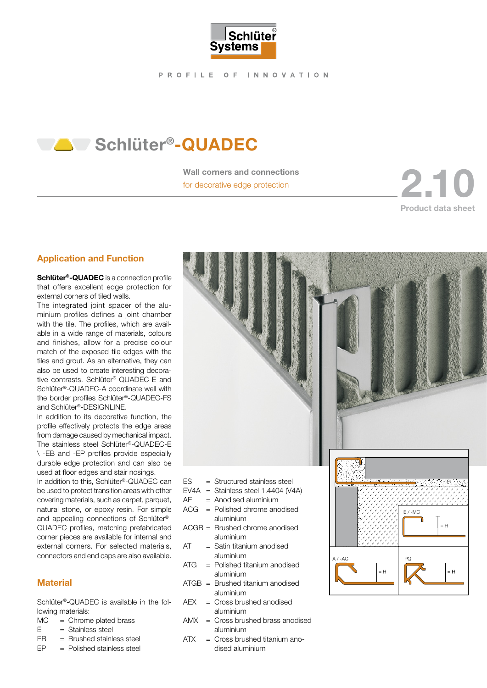

PROFILE OF INNOVATION

# **Schlüter®-QUADEC**

Wall corners and connections Wall corners and connections<br>for decorative edge protection

Product data sheet

## Application and Function

Schlüter®-QUADEC is a connection profile that offers excellent edge protection for external corners of tiled walls.

The integrated joint spacer of the aluminium profiles defines a joint chamber with the tile. The profiles, which are available in a wide range of materials, colours and finishes, allow for a precise colour match of the exposed tile edges with the tiles and grout. As an alternative, they can also be used to create interesting decorative contrasts. Schlüter®-QUADEC-E and Schlüter®-QUADEC-A coordinate well with the border profiles Schlüter®-QUADEC-FS and Schlüter®-DESIGNLINE.

In addition to its decorative function, the profile effectively protects the edge areas from damage caused by mechanical impact. The stainless steel Schlüter®-QUADEC-E \ -EB and -EP profiles provide especially durable edge protection and can also be used at floor edges and stair nosings.

In addition to this, Schlüter®-QUADEC can be used to protect transition areas with other covering materials, such as carpet, parquet, natural stone, or epoxy resin. For simple and appealing connections of Schlüter®- QUADEC profiles, matching prefabricated corner pieces are available for internal and external corners. For selected materials, connectors and end caps are also available.

# **Material**

Schlüter®-QUADEC is available in the following materials:

- $MC =$  Chrome plated brass
- $E =$ Stainless steel
- $EB = Brushed$  stainless steel EP = Polished stainless steel



- AMX = Cross brushed brass anodised aluminium
- ATX = Cross brushed titanium anodised aluminium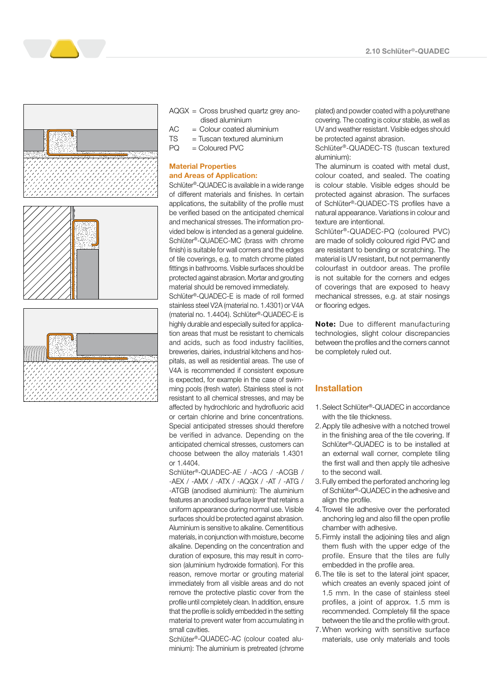

- AQGX = Cross brushed quartz grey anodised aluminium
- $AC =$  Colour coated aluminium
- TS = Tuscan textured aluminium
- $PQ =$  Coloured PVC

## Material Properties and Areas of Application:

Schlüter®-QUADEC is available in a wide range of different materials and finishes. In certain applications, the suitability of the profile must be verified based on the anticipated chemical and mechanical stresses. The information provided below is intended as a general guideline. Schlüter®-QUADEC-MC (brass with chrome finish) is suitable for wall corners and the edges of tile coverings, e.g. to match chrome plated fittings in bathrooms. Visible surfaces should be protected against abrasion. Mortar and grouting material should be removed immediately.

Schlüter®-QUADEC-E is made of roll formed stainless steel V2A (material no. 1.4301) or V4A (material no. 1.4404). Schlüter®-QUADEC-E is highly durable and especially suited for application areas that must be resistant to chemicals and acids, such as food industry facilities, breweries, dairies, industrial kitchens and hospitals, as well as residential areas. The use of V4A is recommended if consistent exposure is expected, for example in the case of swimming pools (fresh water). Stainless steel is not resistant to all chemical stresses, and may be affected by hydrochloric and hydrofluoric acid or certain chlorine and brine concentrations. Special anticipated stresses should therefore be verified in advance. Depending on the anticipated chemical stresses, customers can choose between the alloy materials 1.4301 or 1.4404.

Schlüter®-QUADEC-AE / -ACG / -ACGB / -AEX / -AMX / -ATX / -AQGX / -AT / -ATG / -ATGB (anodised aluminium): The aluminium features an anodised surface layer that retains a uniform appearance during normal use. Visible surfaces should be protected against abrasion. Aluminium is sensitive to alkaline. Cementitious materials, in conjunction with moisture, become alkaline. Depending on the concentration and duration of exposure, this may result in corrosion (aluminium hydroxide formation). For this reason, remove mortar or grouting material immediately from all visible areas and do not remove the protective plastic cover from the profile until completely clean. In addition, ensure that the profile is solidly embedded in the setting material to prevent water from accumulating in small cavities.

Schlüter®-QUADEC-AC (colour coated aluminium): The aluminium is pretreated (chrome plated) and powder coated with a polyurethane covering. The coating is colour stable, as well as UV and weather resistant. Visible edges should be protected against abrasion.

Schlüter®-QUADEC-TS (tuscan textured aluminium):

The aluminum is coated with metal dust, colour coated, and sealed. The coating is colour stable. Visible edges should be protected against abrasion. The surfaces of Schlüter®-QUADEC-TS profiles have a natural appearance. Variations in colour and texture are intentional.

Schlüter®-QUADEC-PQ (coloured PVC) are made of solidly coloured rigid PVC and are resistant to bending or scratching. The material is UV resistant, but not permanently colourfast in outdoor areas. The profile is not suitable for the corners and edges of coverings that are exposed to heavy mechanical stresses, e.g. at stair nosings or flooring edges.

Note: Due to different manufacturing technologies, slight colour discrepancies between the profiles and the corners cannot be completely ruled out.

# Installation

- 1.Select Schlüter®-QUADEC in accordance with the tile thickness.
- 2.Apply tile adhesive with a notched trowel in the finishing area of the tile covering. If Schlüter®-QUADEC is to be installed at an external wall corner, complete tiling the first wall and then apply tile adhesive to the second wall.
- 3.Fully embed the perforated anchoring leg of Schlüter®-QUADEC in the adhesive and align the profile.
- 4.Trowel tile adhesive over the perforated anchoring leg and also fill the open profile chamber with adhesive.
- 5.Firmly install the adjoining tiles and align them flush with the upper edge of the profile. Ensure that the tiles are fully embedded in the profile area.
- 6.The tile is set to the lateral joint spacer, which creates an evenly spaced joint of 1.5 mm. In the case of stainless steel profiles, a joint of approx. 1.5 mm is recommended. Completely fill the space between the tile and the profile with grout.
- 7.When working with sensitive surface materials, use only materials and tools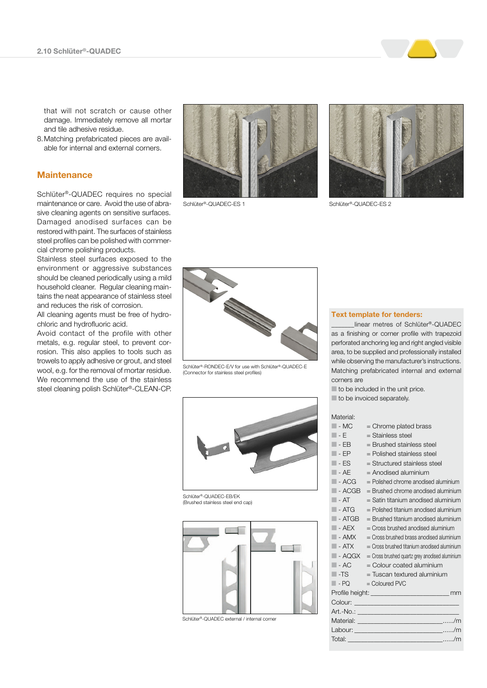that will not scratch or cause other damage. Immediately remove all mortar and tile adhesive residue.

8.Matching prefabricated pieces are available for internal and external corners.

# **Maintenance**

Schlüter®-QUADEC requires no special maintenance or care. Avoid the use of abrasive cleaning agents on sensitive surfaces. Damaged anodised surfaces can be restored with paint. The surfaces of stainless steel profiles can be polished with commercial chrome polishing products.

Stainless steel surfaces exposed to the environment or aggressive substances should be cleaned periodically using a mild household cleaner. Regular cleaning maintains the neat appearance of stainless steel and reduces the risk of corrosion.

All cleaning agents must be free of hydrochloric and hydrofluoric acid.

Avoid contact of the profile with other metals, e.g. regular steel, to prevent corrosion. This also applies to tools such as trowels to apply adhesive or grout, and steel wool, e.g. for the removal of mortar residue. We recommend the use of the stainless steel cleaning polish Schlüter®-CLEAN-CP.



Schlüter®-QUADEC-ES 1 Schlüter®-QUADEC-ES 2





Schlüter®-RONDEC-E/V for use with Schlüter®-QUADEC-E (Connector for stainless steel profiles)



Schlüter®-QUADEC-EB/EK (Brushed stainless steel end cap)



Schlüter®-QUADEC external / internal corner

#### Text template for tenders:

\_\_\_\_\_\_\_linear metres of Schlüter®-QUADEC as a finishing or corner profile with trapezoid perforated anchoring leg and right angled visible area, to be supplied and professionally installed while observing the manufacturer's instructions. Matching prefabricated internal and external corners are

 $\blacksquare$  to be included in the unit price.

to be invoiced separately.

| Material:             |                                                    |
|-----------------------|----------------------------------------------------|
| $\Box$ - MC           | = Chrome plated brass                              |
| $\blacksquare$ - F    | $=$ Stainless steel                                |
| $\Box$ - EB           | $=$ Brushed stainless steel                        |
| $\blacksquare$ - EP   | = Polished stainless steel                         |
| $\blacksquare$ - ES   | $=$ Structured stainless steel                     |
| $\blacksquare$ - AE   | $=$ Anodised aluminium                             |
| $-ACG$                | = Polished chrome anodised aluminium               |
| $\blacksquare$ - ACGB | = Brushed chrome anodised aluminium                |
| $\blacksquare$ - AT   | $=$ Satin titanium anodised aluminium              |
| $\blacksquare$ - ATG  | = Polished titanium anodised aluminium             |
| $\blacksquare$ - ATGB | = Brushed titanium anodised aluminium              |
| $\blacksquare$ - AFX  | $=$ Cross brushed anodised aluminium               |
| $\blacksquare$ - AMX  | $=$ Cross brushed brass anodised aluminium         |
| $\blacksquare$ - ATX  | $=$ Cross brushed titanium anodised aluminium      |
| $- A Q G X$           | = Cross brushed quartz grey anodised aluminium     |
| $\blacksquare$ - AC   | = Colour coated aluminium                          |
| $\blacksquare$ -TS    | = Tuscan textured aluminium                        |
| $\Box$ - PQ           | $=$ Coloured PVC                                   |
|                       |                                                    |
|                       | Colour: <u>___________________________________</u> |
|                       |                                                    |
|                       |                                                    |
|                       |                                                    |
|                       |                                                    |
|                       |                                                    |